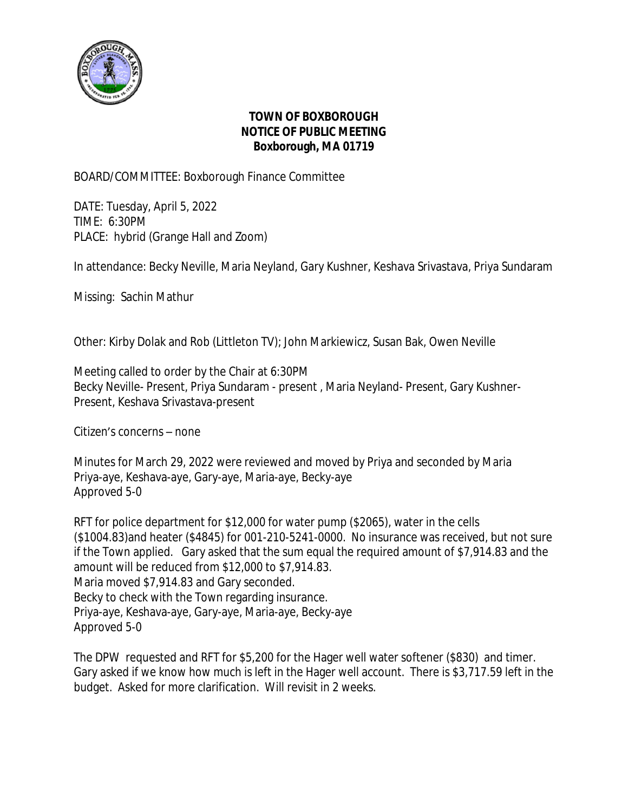

## **TOWN OF BOXBOROUGH NOTICE OF PUBLIC MEETING Boxborough, MA 01719**

## BOARD/COMMITTEE: Boxborough Finance Committee

DATE: Tuesday, April 5, 2022 TIME: 6:30PM PLACE: hybrid (Grange Hall and Zoom)

In attendance: Becky Neville, Maria Neyland, Gary Kushner, Keshava Srivastava, Priya Sundaram

Missing: Sachin Mathur

Other: Kirby Dolak and Rob (Littleton TV); John Markiewicz, Susan Bak, Owen Neville

Meeting called to order by the Chair at 6:30PM Becky Neville- Present, Priya Sundaram - present , Maria Neyland- Present, Gary Kushner-Present, Keshava Srivastava-present

Citizen's concerns – none

Minutes for March 29, 2022 were reviewed and moved by Priya and seconded by Maria Priya-aye, Keshava-aye, Gary-aye, Maria-aye, Becky-aye Approved 5-0

RFT for police department for \$12,000 for water pump (\$2065), water in the cells (\$1004.83)and heater (\$4845) for 001-210-5241-0000. No insurance was received, but not sure if the Town applied. Gary asked that the sum equal the required amount of \$7,914.83 and the amount will be reduced from \$12,000 to \$7,914.83. Maria moved \$7,914.83 and Gary seconded. Becky to check with the Town regarding insurance. Priya-aye, Keshava-aye, Gary-aye, Maria-aye, Becky-aye Approved 5-0

The DPW requested and RFT for \$5,200 for the Hager well water softener (\$830) and timer. Gary asked if we know how much is left in the Hager well account. There is \$3,717.59 left in the budget. Asked for more clarification. Will revisit in 2 weeks.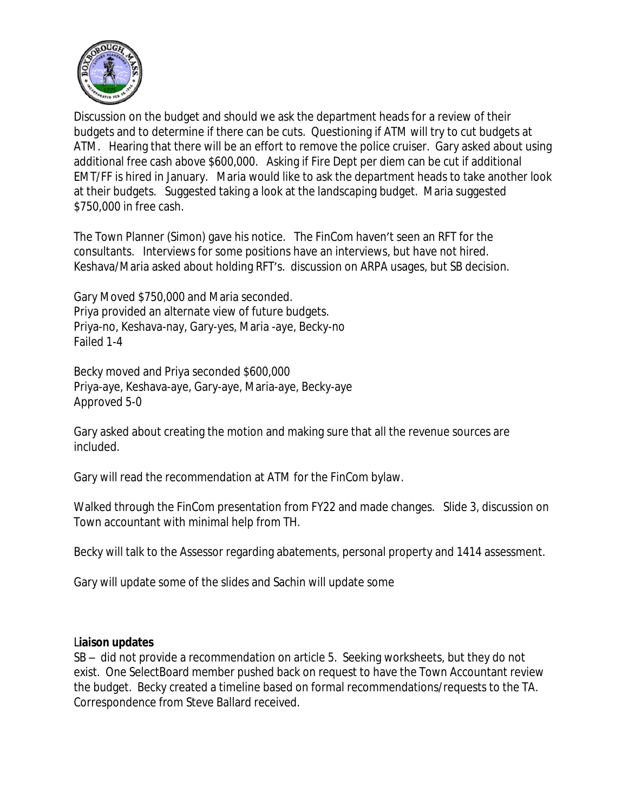

Discussion on the budget and should we ask the department heads for a review of their budgets and to determine if there can be cuts. Questioning if ATM will try to cut budgets at ATM. Hearing that there will be an effort to remove the police cruiser. Gary asked about using additional free cash above \$600,000. Asking if Fire Dept per diem can be cut if additional EMT/FF is hired in January. Maria would like to ask the department heads to take another look at their budgets. Suggested taking a look at the landscaping budget. Maria suggested \$750,000 in free cash.

The Town Planner (Simon) gave his notice. The FinCom haven't seen an RFT for the consultants. Interviews for some positions have an interviews, but have not hired. Keshava/Maria asked about holding RFT's. discussion on ARPA usages, but SB decision.

Gary Moved \$750,000 and Maria seconded. Priya provided an alternate view of future budgets. Priya-no, Keshava-nay, Gary-yes, Maria -aye, Becky-no Failed 1-4

Becky moved and Priya seconded \$600,000 Priya-aye, Keshava-aye, Gary-aye, Maria-aye, Becky-aye Approved 5-0

Gary asked about creating the motion and making sure that all the revenue sources are included.

Gary will read the recommendation at ATM for the FinCom bylaw.

Walked through the FinCom presentation from FY22 and made changes. Slide 3, discussion on Town accountant with minimal help from TH.

Becky will talk to the Assessor regarding abatements, personal property and 1414 assessment.

Gary will update some of the slides and Sachin will update some

## L**iaison updates**

SB – did not provide a recommendation on article 5. Seeking worksheets, but they do not exist. One SelectBoard member pushed back on request to have the Town Accountant review the budget. Becky created a timeline based on formal recommendations/requests to the TA. Correspondence from Steve Ballard received.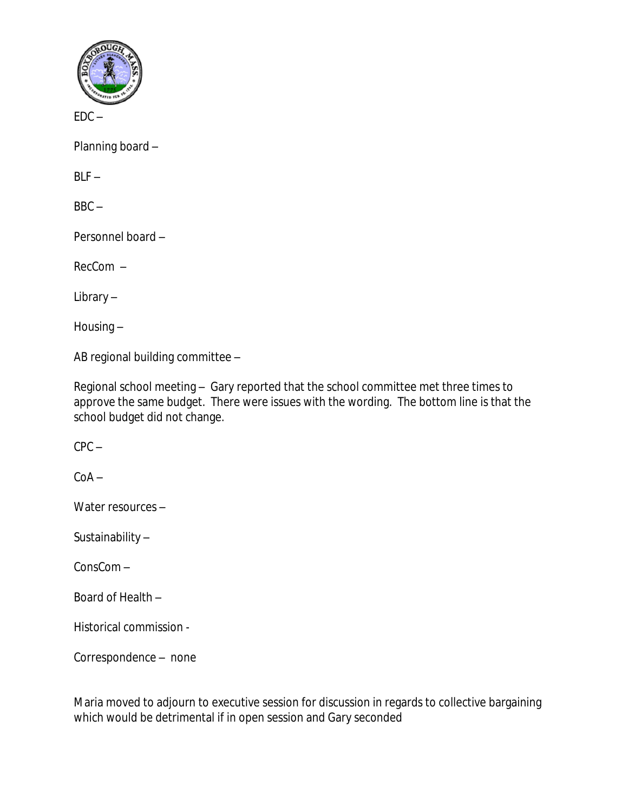

 $FDC -$ 

Planning board –

 $BIF -$ 

 $BBC -$ 

Personnel board –

RecCom –

Library –

Housing –

AB regional building committee –

Regional school meeting – Gary reported that the school committee met three times to approve the same budget. There were issues with the wording. The bottom line is that the school budget did not change.

 $CPC -$ 

 $C<sub>0</sub>A -$ 

Water resources –

Sustainability –

ConsCom –

Board of Health –

Historical commission -

Correspondence – none

Maria moved to adjourn to executive session for discussion in regards to collective bargaining which would be detrimental if in open session and Gary seconded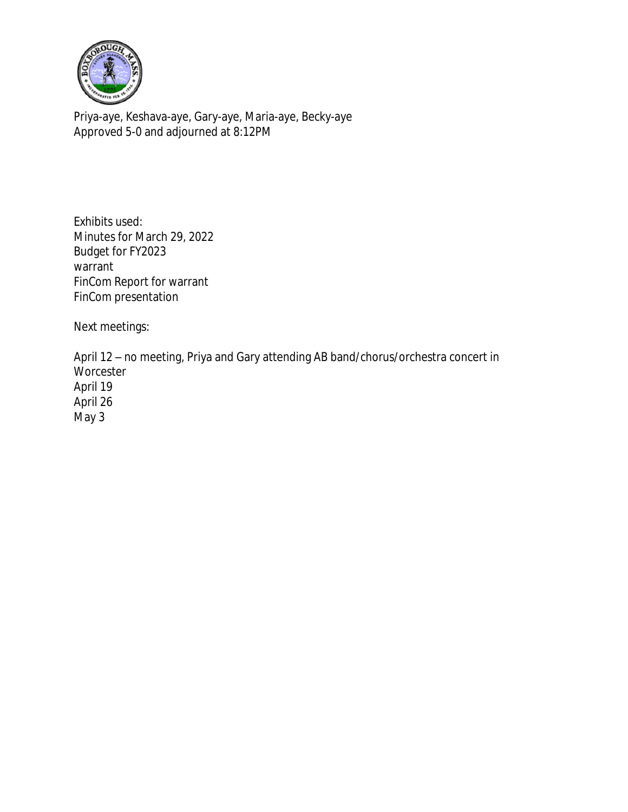

Priya-aye, Keshava-aye, Gary-aye, Maria-aye, Becky-aye Approved 5-0 and adjourned at 8:12PM

Exhibits used: Minutes for March 29, 2022 Budget for FY2023 warrant FinCom Report for warrant FinCom presentation

Next meetings:

April 12 – no meeting, Priya and Gary attending AB band/chorus/orchestra concert in **Worcester** April 19 April 26 May 3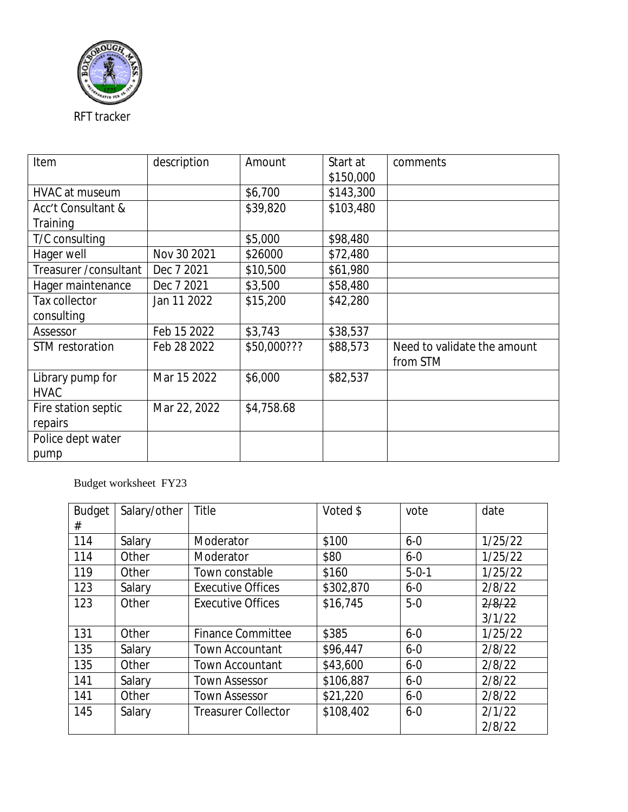

| Item                   | description  | Amount      | Start at  | comments                    |
|------------------------|--------------|-------------|-----------|-----------------------------|
|                        |              |             | \$150,000 |                             |
| HVAC at museum         |              | \$6,700     | \$143,300 |                             |
| Acc't Consultant &     |              | \$39,820    | \$103,480 |                             |
| Training               |              |             |           |                             |
| T/C consulting         |              | \$5,000     | \$98,480  |                             |
| Hager well             | Nov 30 2021  | \$26000     | \$72,480  |                             |
| Treasurer / consultant | Dec 7 2021   | \$10,500    | \$61,980  |                             |
| Hager maintenance      | Dec 7 2021   | \$3,500     | \$58,480  |                             |
| Tax collector          | Jan 11 2022  | \$15,200    | \$42,280  |                             |
| consulting             |              |             |           |                             |
| Assessor               | Feb 15 2022  | \$3,743     | \$38,537  |                             |
| STM restoration        | Feb 28 2022  | \$50,000??? | \$88,573  | Need to validate the amount |
|                        |              |             |           | from STM                    |
| Library pump for       | Mar 15 2022  | \$6,000     | \$82,537  |                             |
| <b>HVAC</b>            |              |             |           |                             |
| Fire station septic    | Mar 22, 2022 | \$4,758.68  |           |                             |
| repairs                |              |             |           |                             |
| Police dept water      |              |             |           |                             |
| pump                   |              |             |           |                             |

Budget worksheet FY23

| <b>Budget</b> | Salary/other | Title                      | Voted \$  | vote        | date    |
|---------------|--------------|----------------------------|-----------|-------------|---------|
| #             |              |                            |           |             |         |
| 114           | Salary       | Moderator                  | \$100     | $6 - 0$     | 1/25/22 |
| 114           | Other        | Moderator                  | \$80      | $6 - 0$     | 1/25/22 |
| 119           | Other        | Town constable             | \$160     | $5 - 0 - 1$ | 1/25/22 |
| 123           | Salary       | <b>Executive Offices</b>   | \$302,870 | $6 - 0$     | 2/8/22  |
| 123           | Other        | <b>Executive Offices</b>   | \$16,745  | $5-0$       | 2/8/22  |
|               |              |                            |           |             | 3/1/22  |
| 131           | Other        | <b>Finance Committee</b>   | \$385     | $6 - 0$     | 1/25/22 |
| 135           | Salary       | <b>Town Accountant</b>     | \$96,447  | $6 - 0$     | 2/8/22  |
| 135           | Other        | <b>Town Accountant</b>     | \$43,600  | $6 - 0$     | 2/8/22  |
| 141           | Salary       | <b>Town Assessor</b>       | \$106,887 | $6 - 0$     | 2/8/22  |
| 141           | Other        | <b>Town Assessor</b>       | \$21,220  | $6 - 0$     | 2/8/22  |
| 145           | Salary       | <b>Treasurer Collector</b> | \$108,402 | $6 - 0$     | 2/1/22  |
|               |              |                            |           |             | 2/8/22  |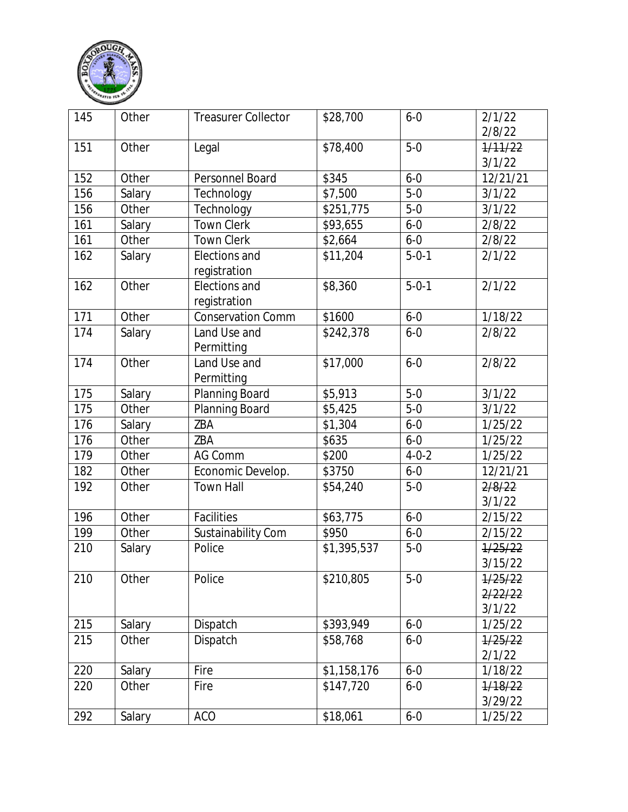

| 145 | Other  | <b>Treasurer Collector</b>    | \$28,700    | $6 - 0$     | 2/1/22<br>2/8/22             |
|-----|--------|-------------------------------|-------------|-------------|------------------------------|
| 151 | Other  | Legal                         | \$78,400    | $5-0$       | 1/11/22<br>3/1/22            |
| 152 | Other  | Personnel Board               | \$345       | $6 - 0$     | 12/21/21                     |
| 156 | Salary | Technology                    | \$7,500     | $5-0$       | 3/1/22                       |
| 156 | Other  | Technology                    | \$251,775   | $5-0$       | 3/1/22                       |
| 161 | Salary | Town Clerk                    | \$93,655    | $6 - 0$     | 2/8/22                       |
| 161 | Other  | <b>Town Clerk</b>             | \$2,664     | $6 - 0$     | 2/8/22                       |
| 162 | Salary | Elections and<br>registration | \$11,204    | $5 - 0 - 1$ | 2/1/22                       |
| 162 | Other  | Elections and<br>registration | \$8,360     | $5 - 0 - 1$ | 2/1/22                       |
| 171 | Other  | <b>Conservation Comm</b>      | \$1600      | $6 - 0$     | 1/18/22                      |
| 174 | Salary | Land Use and<br>Permitting    | \$242,378   | $6 - 0$     | 2/8/22                       |
| 174 | Other  | Land Use and<br>Permitting    | \$17,000    | $6 - 0$     | 2/8/22                       |
| 175 | Salary | Planning Board                | \$5,913     | $5-0$       | 3/1/22                       |
| 175 | Other  | Planning Board                | \$5,425     | $5-0$       | 3/1/22                       |
| 176 | Salary | ZBA                           | \$1,304     | $6 - 0$     | 1/25/22                      |
| 176 | Other  | ZBA                           | \$635       | $6 - 0$     | 1/25/22                      |
| 179 | Other  | AG Comm                       | \$200       | $4 - 0 - 2$ | 1/25/22                      |
| 182 | Other  | Economic Develop.             | \$3750      | $6 - 0$     | 12/21/21                     |
| 192 | Other  | <b>Town Hall</b>              | \$54,240    | $5-0$       | 2/8/22<br>3/1/22             |
| 196 | Other  | Facilities                    | \$63,775    | $6 - 0$     | 2/15/22                      |
| 199 | Other  | Sustainability Com            | \$950       | $6 - 0$     | 2/15/22                      |
| 210 | Salary | Police                        | \$1,395,537 | $5-0$       | 1/25/22<br>3/15/22           |
| 210 | Other  | Police                        | \$210,805   | $5-0$       | 1/25/22<br>2/22/22<br>3/1/22 |
| 215 | Salary | Dispatch                      | \$393,949   | $6 - 0$     | 1/25/22                      |
| 215 | Other  | Dispatch                      | \$58,768    | $6 - 0$     | 1/25/22                      |
|     |        |                               |             |             | 2/1/22                       |
| 220 | Salary | Fire                          | \$1,158,176 | $6 - 0$     | 1/18/22                      |
| 220 | Other  | Fire                          | \$147,720   | $6 - 0$     | 1/18/22                      |
|     |        |                               |             |             | 3/29/22                      |
| 292 | Salary | <b>ACO</b>                    | \$18,061    | $6 - 0$     | 1/25/22                      |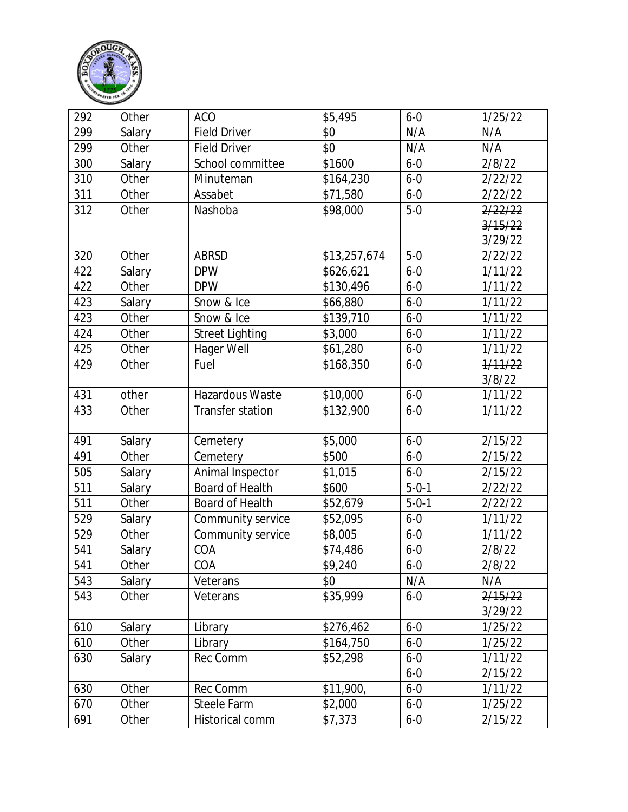

| 292 | Other  | <b>ACO</b>             | \$5,495      | $6 - 0$     | 1/25/22 |
|-----|--------|------------------------|--------------|-------------|---------|
| 299 | Salary | <b>Field Driver</b>    | \$0          | N/A         | N/A     |
| 299 | Other  | <b>Field Driver</b>    | \$0          | N/A         | N/A     |
| 300 | Salary | School committee       | \$1600       | $6 - 0$     | 2/8/22  |
| 310 | Other  | Minuteman              | \$164,230    | $6 - 0$     | 2/22/22 |
| 311 | Other  | Assabet                | \$71,580     | $6 - 0$     | 2/22/22 |
| 312 | Other  | Nashoba                | \$98,000     | $5-0$       | 2/22/22 |
|     |        |                        |              |             | 3/15/22 |
|     |        |                        |              |             | 3/29/22 |
| 320 | Other  | <b>ABRSD</b>           | \$13,257,674 | $5-0$       | 2/22/22 |
| 422 | Salary | <b>DPW</b>             | \$626,621    | $6 - 0$     | 1/11/22 |
| 422 | Other  | <b>DPW</b>             | \$130,496    | $6 - 0$     | 1/11/22 |
| 423 | Salary | Snow & Ice             | \$66,880     | $6 - 0$     | 1/11/22 |
| 423 | Other  | Snow & Ice             | \$139,710    | $6 - 0$     | 1/11/22 |
| 424 | Other  | <b>Street Lighting</b> | \$3,000      | $6 - 0$     | 1/11/22 |
| 425 | Other  | Hager Well             | \$61,280     | $6 - 0$     | 1/11/22 |
| 429 | Other  | Fuel                   | \$168,350    | $6 - 0$     | 1/11/22 |
|     |        |                        |              |             | 3/8/22  |
| 431 | other  | Hazardous Waste        | \$10,000     | $6 - 0$     | 1/11/22 |
| 433 | Other  | Transfer station       | \$132,900    | $6 - 0$     | 1/11/22 |
|     |        |                        |              |             |         |
| 491 | Salary | Cemetery               | \$5,000      | $6 - 0$     | 2/15/22 |
| 491 | Other  | Cemetery               | \$500        | $6 - 0$     | 2/15/22 |
| 505 | Salary | Animal Inspector       | \$1,015      | $6 - 0$     | 2/15/22 |
| 511 | Salary | Board of Health        | \$600        | $5 - 0 - 1$ | 2/22/22 |
| 511 | Other  | Board of Health        | \$52,679     | $5 - 0 - 1$ | 2/22/22 |
| 529 | Salary | Community service      | \$52,095     | $6 - 0$     | 1/11/22 |
| 529 | Other  | Community service      | \$8,005      | $6 - 0$     | 1/11/22 |
| 541 | Salary | COA                    | \$74,486     | $6 - 0$     | 2/8/22  |
| 541 | Other  | COA                    | \$9,240      | $6 - 0$     | 2/8/22  |
| 543 | Salary | Veterans               | \$0          | N/A         | N/A     |
| 543 | Other  | Veterans               | \$35,999     | $6 - 0$     | 2/15/22 |
|     |        |                        |              |             | 3/29/22 |
| 610 | Salary | Library                | \$276,462    | $6 - 0$     | 1/25/22 |
| 610 | Other  | Library                | \$164,750    | $6 - 0$     | 1/25/22 |
| 630 | Salary | Rec Comm               | \$52,298     | $6 - 0$     | 1/11/22 |
|     |        |                        |              | $6 - 0$     | 2/15/22 |
| 630 | Other  | Rec Comm               | \$11,900,    | $6 - 0$     | 1/11/22 |
| 670 | Other  | Steele Farm            | \$2,000      | $6 - 0$     | 1/25/22 |
| 691 | Other  | Historical comm        | \$7,373      | $6 - 0$     | 2/15/22 |